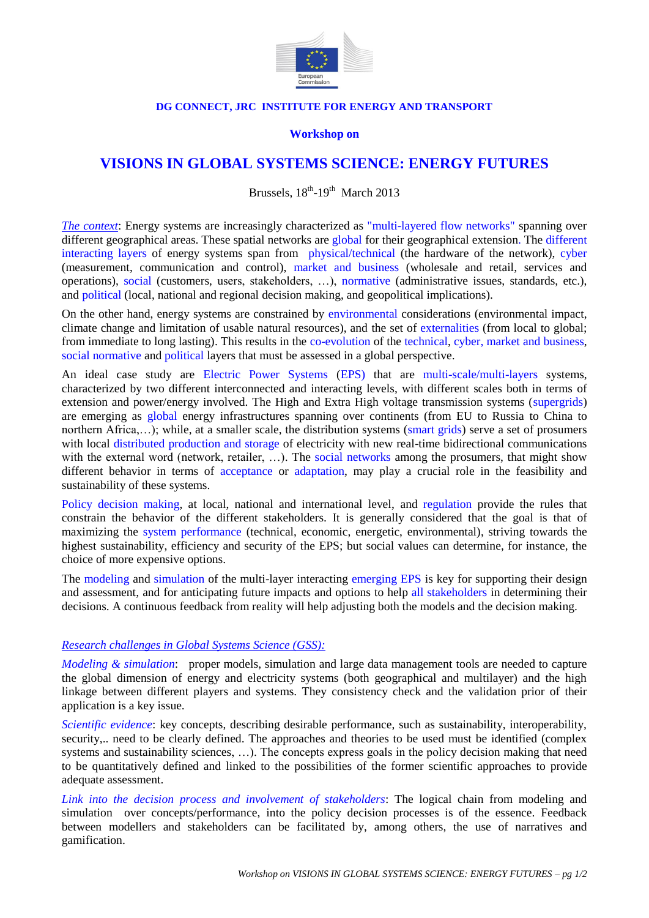

#### **DG CONNECT, JRC INSTITUTE FOR ENERGY AND TRANSPORT**

#### **Workshop on**

# **VISIONS IN GLOBAL SYSTEMS SCIENCE: ENERGY FUTURES**

Brussels,  $18^{th}$ - $19^{th}$  March 2013

*The context*: Energy systems are increasingly characterized as "multi-layered flow networks" spanning over different geographical areas. These spatial networks are global for their geographical extension. The different interacting layers of energy systems span from physical/technical (the hardware of the network), cyber (measurement, communication and control), market and business (wholesale and retail, services and operations), social (customers, users, stakeholders, …), normative (administrative issues, standards, etc.), and political (local, national and regional decision making, and geopolitical implications).

On the other hand, energy systems are constrained by environmental considerations (environmental impact, climate change and limitation of usable natural resources), and the set of externalities (from local to global; from immediate to long lasting). This results in the co-evolution of the technical, cyber, market and business, social normative and political layers that must be assessed in a global perspective.

An ideal case study are Electric Power Systems (EPS) that are multi-scale/multi-layers systems, characterized by two different interconnected and interacting levels, with different scales both in terms of extension and power/energy involved. The High and Extra High voltage transmission systems (supergrids) are emerging as global energy infrastructures spanning over continents (from EU to Russia to China to northern Africa,…); while, at a smaller scale, the distribution systems (smart grids) serve a set of prosumers with local distributed production and storage of electricity with new real-time bidirectional communications with the external word (network, retailer, ...). The social networks among the prosumers, that might show different behavior in terms of acceptance or adaptation, may play a crucial role in the feasibility and sustainability of these systems.

Policy decision making, at local, national and international level, and regulation provide the rules that constrain the behavior of the different stakeholders. It is generally considered that the goal is that of maximizing the system performance (technical, economic, energetic, environmental), striving towards the highest sustainability, efficiency and security of the EPS; but social values can determine, for instance, the choice of more expensive options.

The modeling and simulation of the multi-layer interacting emerging EPS is key for supporting their design and assessment, and for anticipating future impacts and options to help all stakeholders in determining their decisions. A continuous feedback from reality will help adjusting both the models and the decision making.

#### *Research challenges in Global Systems Science (GSS):*

*Modeling & simulation*: proper models, simulation and large data management tools are needed to capture the global dimension of energy and electricity systems (both geographical and multilayer) and the high linkage between different players and systems. They consistency check and the validation prior of their application is a key issue.

*Scientific evidence*: key concepts, describing desirable performance, such as sustainability, interoperability, security... need to be clearly defined. The approaches and theories to be used must be identified (complex systems and sustainability sciences, …). The concepts express goals in the policy decision making that need to be quantitatively defined and linked to the possibilities of the former scientific approaches to provide adequate assessment.

*Link into the decision process and involvement of stakeholders*: The logical chain from modeling and simulation over concepts/performance, into the policy decision processes is of the essence. Feedback between modellers and stakeholders can be facilitated by, among others, the use of narratives and gamification.